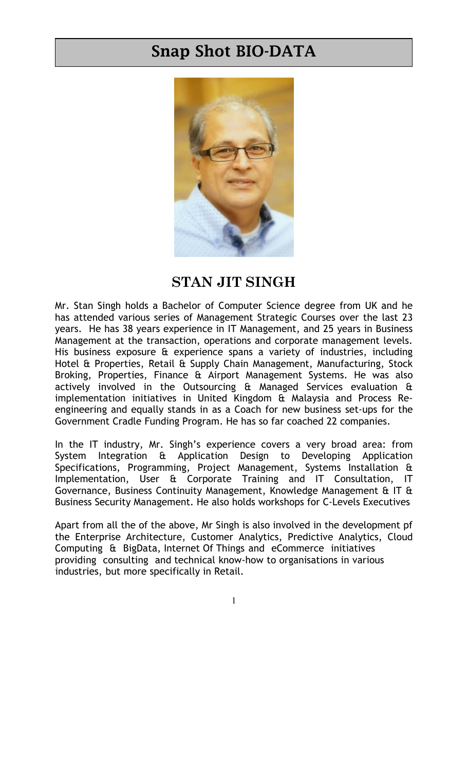## Snap Shot BIO-DATA



## STAN JIT SINGH

Mr. Stan Singh holds a Bachelor of Computer Science degree from UK and he has attended various series of Management Strategic Courses over the last 23 years. He has 38 years experience in IT Management, and 25 years in Business Management at the transaction, operations and corporate management levels. His business exposure & experience spans a variety of industries, including Hotel & Properties, Retail & Supply Chain Management, Manufacturing, Stock Broking, Properties, Finance & Airport Management Systems. He was also actively involved in the Outsourcing & Managed Services evaluation & implementation initiatives in United Kingdom & Malaysia and Process Reengineering and equally stands in as a Coach for new business set-ups for the Government Cradle Funding Program. He has so far coached 22 companies.

In the IT industry, Mr. Singh's experience covers a very broad area: from System Integration & Application Design to Developing Application Specifications, Programming, Project Management, Systems Installation & Implementation, User & Corporate Training and IT Consultation, IT Governance, Business Continuity Management, Knowledge Management & IT & Business Security Management. He also holds workshops for C-Levels Executives

Apart from all the of the above, Mr Singh is also involved in the development pf the Enterprise Architecture, Customer Analytics, Predictive Analytics, Cloud Computing & BigData, Internet Of Things and eCommerce initiatives providing consulting and technical know-how to organisations in various industries, but more specifically in Retail.

1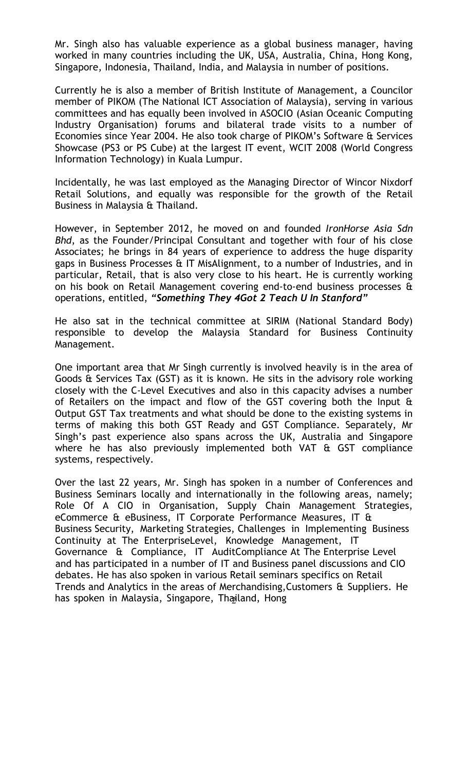Singapore, Indonesia, Thailand, India, and Malaysia in number of positions. Mr. Singh also has valuable experience as a global business manager, having worked in many countries including the UK, USA, Australia, China, Hong Kong,

Currently he is also a member of British Institute of Management, a Councilor member of PIKOM (The National ICT Association of Malaysia), serving in various committees and has equally been involved in ASOCIO (Asian Oceanic Computing Industry Organisation) forums and bilateral trade visits to a number of Economies since Year 2004. He also took charge of PIKOM's Software & Services Showcase (PS3 or PS Cube) at the largest IT event, WCIT 2008 (World Congress Information Technology) in Kuala Lumpur.

Incidentally, he was last employed as the Managing Director of Wincor Nixdorf Retail Solutions, and equally was responsible for the growth of the Retail Business in Malaysia & Thailand.

However, in September 2012, he moved on and founded IronHorse Asia Sdn Bhd, as the Founder/Principal Consultant and together with four of his close Associates; he brings in 84 years of experience to address the huge disparity gaps in Business Processes & IT MisAlignment, to a number of Industries, and in particular, Retail, that is also very close to his heart. He is currently working on his book on Retail Management covering end-to-end business processes & operations, entitled, "Something They 4Got 2 Teach U In Stanford"

He also sat in the technical committee at SIRIM (National Standard Body) responsible to develop the Malaysia Standard for Business Continuity Management.

One important area that Mr Singh currently is involved heavily is in the area of Goods & Services Tax (GST) as it is known. He sits in the advisory role working closely with the C-Level Executives and also in this capacity advises a number of Retailers on the impact and flow of the GST covering both the Input & Output GST Tax treatments and what should be done to the existing systems in terms of making this both GST Ready and GST Compliance. Separately, Mr Singh's past experience also spans across the UK, Australia and Singapore where he has also previously implemented both VAT & GST compliance systems, respectively.

has spoken in Malaysia, Singapore, Thailand, Hong Over the last 22 years, Mr. Singh has spoken in a number of Conferences and Business Seminars locally and internationally in the following areas, namely; Role Of A CIO in Organisation, Supply Chain Management Strategies, eCommerce & eBusiness, IT Corporate Performance Measures, IT & Business Security, Marketing Strategies, Challenges in Implementing Business Continuity at The EnterpriseLevel, Knowledge Management, IT Governance & Compliance, IT AuditCompliance At The Enterprise Level and has participated in a number of IT and Business panel discussions and CIO debates. He has also spoken in various Retail seminars specifics on Retail Trends and Analytics in the areas of Merchandising,Customers & Suppliers. He